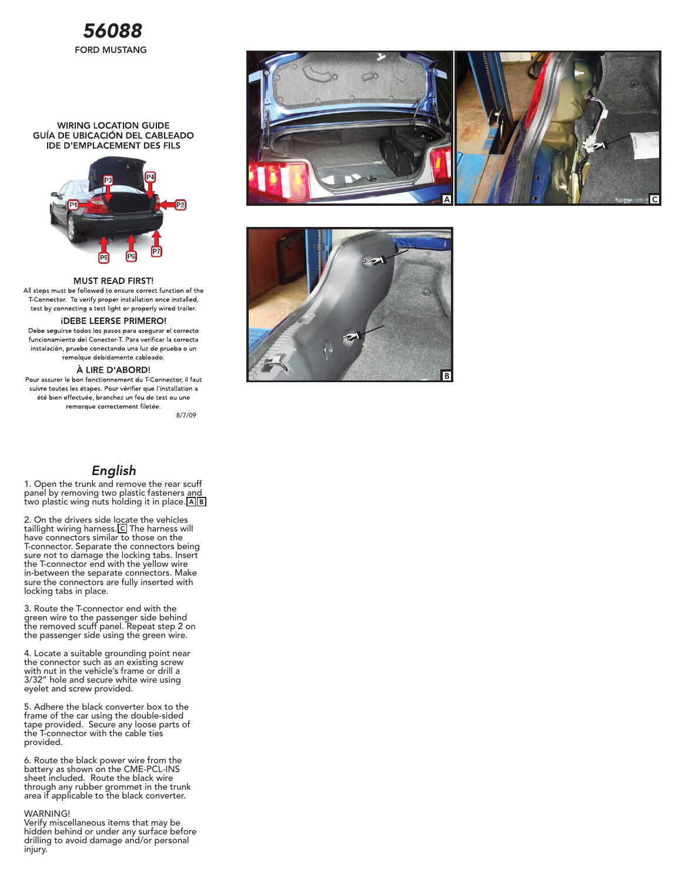

### **WIRING LOCATION GUIDE** GUÍA DE UBICACIÓN DEL CABLEADO **IDE D'EMPLACEMENT DES FILS**



#### **MUST READ FIRST!**

All steps must be followed to ensure correct function of the T-Connector. To verify proper installation once installed, test by connecting a test light or properly wired trailer.

## **IDEBE LEERSE PRIMERO!**

Debe seguirse todos los pasos para asegurar el correcto funcionamiento del Conector T. Para verificar la correcta instalación, pruebe conectando una luz de prueba o un remolque debidamente cableado.

#### À LIRE D'ABORD!

Pour assurer le bon fonctionnement du T-Connector, il faut suivre toutes les étapes. Pour vérifier que l'installation a été bien effectuée, branchez un feu de test ou une remorque correctement filetée.

8/7/09

# English

1. Open the trunk and remove the rear scuff panel by removing two plastic fasteners and two plastic wing nuts holding it in place. A B

2. On the drivers side locate the vehicles taillight wiring harness.[C] The harness will have connectors similar to those on the T-connector. Separate the connectors being sure not to damage the locking tabs. Insert the T-connector end with the yellow wire in-between the separate connectors. Make sure the connectors are fully inserted with locking tabs in place.

3. Route the T-connector end with the green wire to the passenger side behind the removed scuff panel. Repeat step 2 on the passenger side using the green wire.

4. Locate a suitable grounding point near the connector such as an existing screw with nut in the vehicle's frame or drill a 3/32" hole and secure white wire using eyelet and screw provided.

5. Adhere the black converter box to the frame of the car using the double-sided tape provided. Secure any loose parts of the T-connector with the cable ties provided.

6. Route the black power wire from the battery as shown on the CME-PCL-INS sheet included. Route the black wire through any rubber grommet in the trunk area if applicable to the black converter.

#### WARNING!

Verify miscellaneous items that may be hidden behind or under any surface before drilling to avoid damage and/or personal injury.